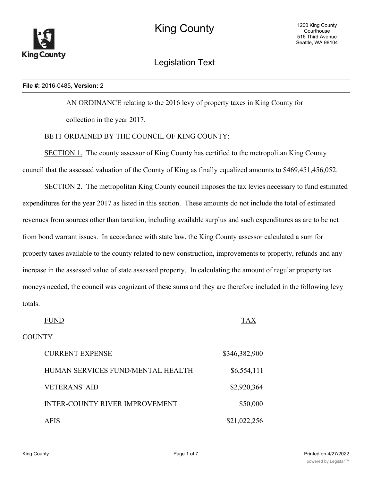

Legislation Text

### **File #:** 2016-0485, **Version:** 2

AN ORDINANCE relating to the 2016 levy of property taxes in King County for

collection in the year 2017.

# BE IT ORDAINED BY THE COUNCIL OF KING COUNTY:

SECTION 1. The county assessor of King County has certified to the metropolitan King County council that the assessed valuation of the County of King as finally equalized amounts to \$469,451,456,052.

SECTION 2. The metropolitan King County council imposes the tax levies necessary to fund estimated expenditures for the year 2017 as listed in this section. These amounts do not include the total of estimated revenues from sources other than taxation, including available surplus and such expenditures as are to be net from bond warrant issues. In accordance with state law, the King County assessor calculated a sum for property taxes available to the county related to new construction, improvements to property, refunds and any increase in the assessed value of state assessed property. In calculating the amount of regular property tax moneys needed, the council was cognizant of these sums and they are therefore included in the following levy totals.

FUND TAX **COUNTY** CURRENT EXPENSE \$346,382,900 HUMAN SERVICES FUND/MENTAL HEALTH \$6,554,111 VETERANS' AID \$2,920,364 INTER-COUNTY RIVER IMPROVEMENT \$50,000 AFIS \$21,022,256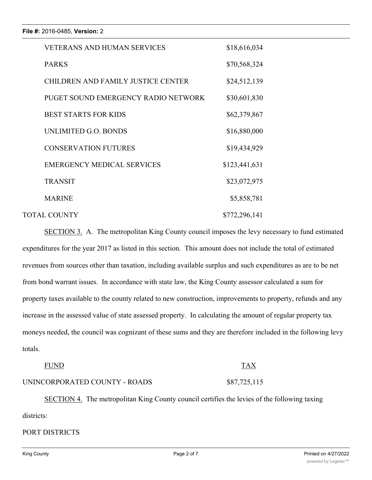| <b>VETERANS AND HUMAN SERVICES</b>        | \$18,616,034  |  |
|-------------------------------------------|---------------|--|
| <b>PARKS</b>                              | \$70,568,324  |  |
| <b>CHILDREN AND FAMILY JUSTICE CENTER</b> | \$24,512,139  |  |
| PUGET SOUND EMERGENCY RADIO NETWORK       | \$30,601,830  |  |
| <b>BEST STARTS FOR KIDS</b>               | \$62,379,867  |  |
| UNLIMITED G.O. BONDS                      | \$16,880,000  |  |
| <b>CONSERVATION FUTURES</b>               | \$19,434,929  |  |
| <b>EMERGENCY MEDICAL SERVICES</b>         | \$123,441,631 |  |
| <b>TRANSIT</b>                            | \$23,072,975  |  |
| <b>MARINE</b>                             | \$5,858,781   |  |
| <b>TOTAL COUNTY</b>                       | \$772,296,141 |  |

SECTION 3. A. The metropolitan King County council imposes the levy necessary to fund estimated expenditures for the year 2017 as listed in this section. This amount does not include the total of estimated revenues from sources other than taxation, including available surplus and such expenditures as are to be net from bond warrant issues. In accordance with state law, the King County assessor calculated a sum for property taxes available to the county related to new construction, improvements to property, refunds and any increase in the assessed value of state assessed property. In calculating the amount of regular property tax moneys needed, the council was cognizant of these sums and they are therefore included in the following levy totals.

### FUND TAX

# UNINCORPORATED COUNTY - ROADS \$87,725,115

SECTION 4. The metropolitan King County council certifies the levies of the following taxing districts:

### PORT DISTRICTS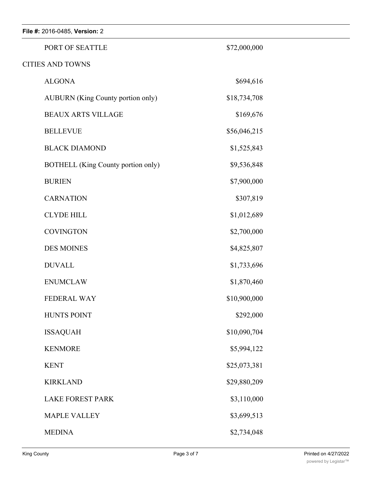| File #: 2016-0485, Version: 2            |              |  |
|------------------------------------------|--------------|--|
| PORT OF SEATTLE                          | \$72,000,000 |  |
| <b>CITIES AND TOWNS</b>                  |              |  |
| <b>ALGONA</b>                            | \$694,616    |  |
| <b>AUBURN</b> (King County portion only) | \$18,734,708 |  |
| <b>BEAUX ARTS VILLAGE</b>                | \$169,676    |  |
| <b>BELLEVUE</b>                          | \$56,046,215 |  |
| <b>BLACK DIAMOND</b>                     | \$1,525,843  |  |
| BOTHELL (King County portion only)       | \$9,536,848  |  |
| <b>BURIEN</b>                            | \$7,900,000  |  |
| <b>CARNATION</b>                         | \$307,819    |  |
| <b>CLYDE HILL</b>                        | \$1,012,689  |  |
| <b>COVINGTON</b>                         | \$2,700,000  |  |
| <b>DES MOINES</b>                        | \$4,825,807  |  |
| <b>DUVALL</b>                            | \$1,733,696  |  |
| <b>ENUMCLAW</b>                          | \$1,870,460  |  |
| FEDERAL WAY                              | \$10,900,000 |  |
| <b>HUNTS POINT</b>                       | \$292,000    |  |
| <b>ISSAQUAH</b>                          | \$10,090,704 |  |
| <b>KENMORE</b>                           | \$5,994,122  |  |
| <b>KENT</b>                              | \$25,073,381 |  |
| <b>KIRKLAND</b>                          | \$29,880,209 |  |
| <b>LAKE FOREST PARK</b>                  | \$3,110,000  |  |
| <b>MAPLE VALLEY</b>                      | \$3,699,513  |  |
| <b>MEDINA</b>                            | \$2,734,048  |  |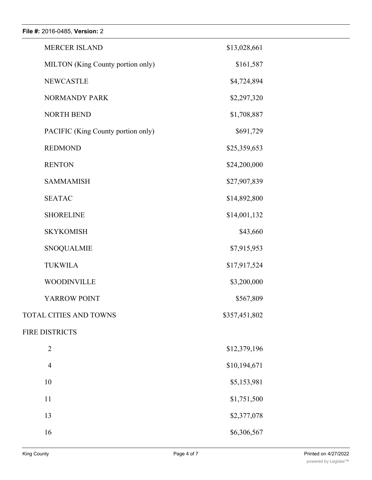**File #:** 2016-0485, **Version:** 2

| <b>MERCER ISLAND</b>               | \$13,028,661  |  |
|------------------------------------|---------------|--|
| MILTON (King County portion only)  | \$161,587     |  |
| <b>NEWCASTLE</b>                   | \$4,724,894   |  |
| NORMANDY PARK                      | \$2,297,320   |  |
| <b>NORTH BEND</b>                  | \$1,708,887   |  |
| PACIFIC (King County portion only) | \$691,729     |  |
| <b>REDMOND</b>                     | \$25,359,653  |  |
| <b>RENTON</b>                      | \$24,200,000  |  |
| <b>SAMMAMISH</b>                   | \$27,907,839  |  |
| <b>SEATAC</b>                      | \$14,892,800  |  |
| <b>SHORELINE</b>                   | \$14,001,132  |  |
| <b>SKYKOMISH</b>                   | \$43,660      |  |
| <b>SNOQUALMIE</b>                  | \$7,915,953   |  |
| <b>TUKWILA</b>                     | \$17,917,524  |  |
| <b>WOODINVILLE</b>                 | \$3,200,000   |  |
| YARROW POINT                       | \$567,809     |  |
| TOTAL CITIES AND TOWNS             | \$357,451,802 |  |
| FIRE DISTRICTS                     |               |  |
| $\overline{2}$                     | \$12,379,196  |  |
| $\overline{4}$                     | \$10,194,671  |  |
| 10                                 | \$5,153,981   |  |
| 11                                 | \$1,751,500   |  |
| 13                                 | \$2,377,078   |  |
| 16                                 | \$6,306,567   |  |
|                                    |               |  |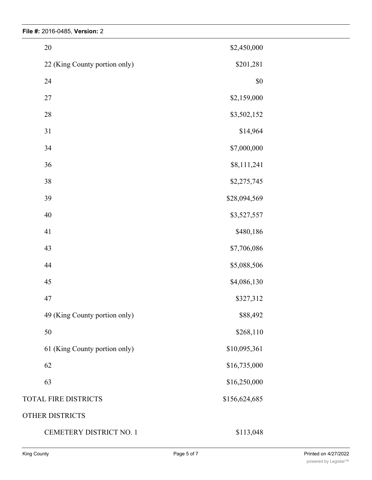| $20\,$                        | \$2,450,000   |  |
|-------------------------------|---------------|--|
| 22 (King County portion only) | \$201,281     |  |
| 24                            | $\$0$         |  |
| $27\,$                        | \$2,159,000   |  |
| $28\,$                        | \$3,502,152   |  |
| 31                            | \$14,964      |  |
| 34                            | \$7,000,000   |  |
| 36                            | \$8,111,241   |  |
| $38\,$                        | \$2,275,745   |  |
| 39                            | \$28,094,569  |  |
| $40\,$                        | \$3,527,557   |  |
| 41                            | \$480,186     |  |
| 43                            | \$7,706,086   |  |
| 44                            | \$5,088,506   |  |
| 45                            | \$4,086,130   |  |
| $47\,$                        | \$327,312     |  |
| 49 (King County portion only) | \$88,492      |  |
| 50                            | \$268,110     |  |
| 61 (King County portion only) | \$10,095,361  |  |
| 62                            | \$16,735,000  |  |
| 63                            | \$16,250,000  |  |
| TOTAL FIRE DISTRICTS          | \$156,624,685 |  |
| OTHER DISTRICTS               |               |  |
| CEMETERY DISTRICT NO. 1       | \$113,048     |  |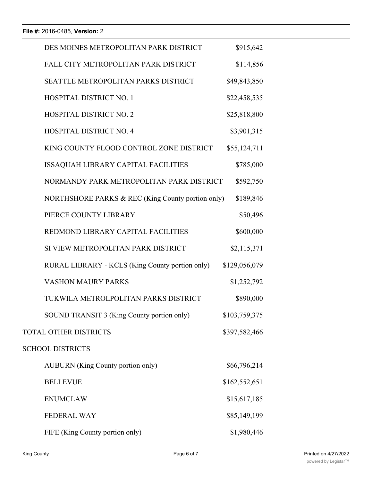| DES MOINES METROPOLITAN PARK DISTRICT             | \$915,642     |  |
|---------------------------------------------------|---------------|--|
| FALL CITY METROPOLITAN PARK DISTRICT              | \$114,856     |  |
| SEATTLE METROPOLITAN PARKS DISTRICT               | \$49,843,850  |  |
| <b>HOSPITAL DISTRICT NO. 1</b>                    | \$22,458,535  |  |
| <b>HOSPITAL DISTRICT NO. 2</b>                    | \$25,818,800  |  |
| <b>HOSPITAL DISTRICT NO. 4</b>                    | \$3,901,315   |  |
| KING COUNTY FLOOD CONTROL ZONE DISTRICT           | \$55,124,711  |  |
| ISSAQUAH LIBRARY CAPITAL FACILITIES               | \$785,000     |  |
| NORMANDY PARK METROPOLITAN PARK DISTRICT          | \$592,750     |  |
| NORTHSHORE PARKS & REC (King County portion only) | \$189,846     |  |
| PIERCE COUNTY LIBRARY                             | \$50,496      |  |
| REDMOND LIBRARY CAPITAL FACILITIES                | \$600,000     |  |
| SI VIEW METROPOLITAN PARK DISTRICT                | \$2,115,371   |  |
| RURAL LIBRARY - KCLS (King County portion only)   | \$129,056,079 |  |
| <b>VASHON MAURY PARKS</b>                         | \$1,252,792   |  |
| TUKWILA METROLPOLITAN PARKS DISTRICT              | \$890,000     |  |
| SOUND TRANSIT 3 (King County portion only)        | \$103,759,375 |  |
| TOTAL OTHER DISTRICTS                             | \$397,582,466 |  |
| <b>SCHOOL DISTRICTS</b>                           |               |  |
| <b>AUBURN</b> (King County portion only)          | \$66,796,214  |  |
| <b>BELLEVUE</b>                                   | \$162,552,651 |  |
| <b>ENUMCLAW</b>                                   | \$15,617,185  |  |
| <b>FEDERAL WAY</b>                                | \$85,149,199  |  |
| FIFE (King County portion only)                   | \$1,980,446   |  |